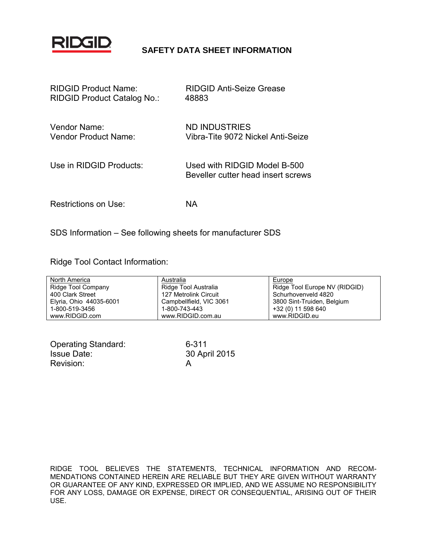

# **SAFETY DATA SHEET INFORMATION**

| <b>RIDGID Product Name:</b> | <b>RIDGID Anti-Seize Grease</b>                                    |
|-----------------------------|--------------------------------------------------------------------|
| RIDGID Product Catalog No.: | 48883                                                              |
| Vendor Name:                | ND INDUSTRIES                                                      |
| Vendor Product Name:        | Vibra-Tite 9072 Nickel Anti-Seize                                  |
| Use in RIDGID Products:     | Used with RIDGID Model B-500<br>Beveller cutter head insert screws |
| Restrictions on Use:        | ΝA                                                                 |

SDS Information – See following sheets for manufacturer SDS

Ridge Tool Contact Information:

| North America           | Australia               | Europe                        |
|-------------------------|-------------------------|-------------------------------|
| Ridge Tool Company      | Ridge Tool Australia    | Ridge Tool Europe NV (RIDGID) |
| 400 Clark Street        | 127 Metrolink Circuit   | Schurhovenveld 4820           |
| Elyria, Ohio 44035-6001 | Campbellfield, VIC 3061 | 3800 Sint-Truiden, Belgium    |
| 1-800-519-3456          | 1-800-743-443           | +32 (0) 11 598 640            |
| www.RIDGID.com          | www.RIDGID.com.au       | www.RIDGID.eu                 |

| <b>Operating Standard:</b> | 6. |
|----------------------------|----|
| <b>Issue Date:</b>         | 3  |
| Revision:                  |    |

 $6 - 311$ 30 April 2015

RIDGE TOOL BELIEVES THE STATEMENTS, TECHNICAL INFORMATION AND RECOM-MENDATIONS CONTAINED HEREIN ARE RELIABLE BUT THEY ARE GIVEN WITHOUT WARRANTY OR GUARANTEE OF ANY KIND, EXPRESSED OR IMPLIED, AND WE ASSUME NO RESPONSIBILITY FOR ANY LOSS, DAMAGE OR EXPENSE, DIRECT OR CONSEQUENTIAL, ARISING OUT OF THEIR USE.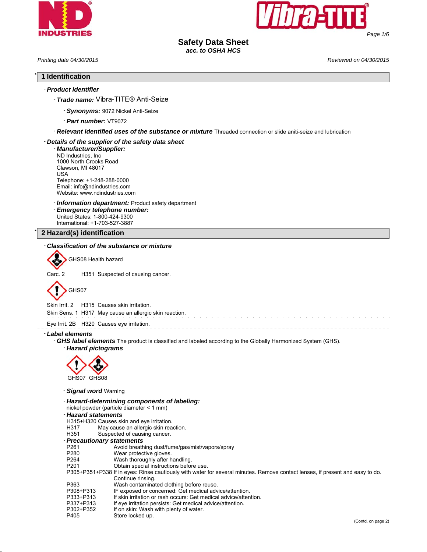



# **Safety Data Sheet**

*acc. to OSHA HCS*

*Printing date 04/30/2015 Reviewed on 04/30/2015*

\* **1 Identification**

| - Trade name: Vibra-TITE® Anti-Seize<br>- Synonyms: 9072 Nickel Anti-Seize<br>- Part number: VT9072<br>- Relevant identified uses of the substance or mixture Threaded connection or slide aniti-seize and lubrication<br>- Details of the supplier of the safety data sheet<br>- Manufacturer/Supplier:<br>ND Industries, Inc.<br>1000 North Crooks Road<br>Clawson, MI 48017<br>USA<br>Telephone: +1-248-288-0000<br>Email: info@ndindustries.com<br>Website: www.ndindustries.com<br>- <b>Information department:</b> Product safety department<br>- Emergency telephone number:<br>United States: 1-800-424-9300<br>International: +1-703-527-3887<br>2 Hazard(s) identification<br>- Classification of the substance or mixture<br>GHS08 Health hazard<br>H351 Suspected of causing cancer.<br>Carc. 2<br>GHS07<br>Skin Irrit, 2<br>H315 Causes skin irritation.<br>Skin Sens. 1 H317 May cause an allergic skin reaction.<br>Eye Irrit. 2B H320 Causes eye irritation.<br>- Label elements<br>- GHS label elements The product is classified and labeled according to the Globally Harmonized System (GHS).<br>- Hazard pictograms<br>GHS07 GHS08<br>- Signal word Warning<br>- Hazard-determining components of labeling:<br>nickel powder (particle diameter < 1 mm)<br>- Hazard statements<br>H315+H320 Causes skin and eye irritation.<br>H317<br>May cause an allergic skin reaction.<br>H351<br>Suspected of causing cancer.<br>- Precautionary statements<br>Avoid breathing dust/fume/gas/mist/vapors/spray<br>P261<br>P280<br>Wear protective gloves.<br>P264<br>Wash thoroughly after handling.<br>Obtain special instructions before use.<br>P201<br>P305+P351+P338 If in eyes: Rinse cautiously with water for several minutes. Remove contact lenses, if present and easy to do.<br>Continue rinsing.<br>P363<br>Wash contaminated clothing before reuse.<br>IF exposed or concerned: Get medical advice/attention.<br>P308+P313<br>P333+P313<br>If skin irritation or rash occurs: Get medical advice/attention.<br>P337+P313<br>If eye irritation persists: Get medical advice/attention.<br>P302+P352<br>If on skin: Wash with plenty of water.<br>P405<br>Store locked up.<br>(Contd. on page 2) | - Product identifier |  |
|-------------------------------------------------------------------------------------------------------------------------------------------------------------------------------------------------------------------------------------------------------------------------------------------------------------------------------------------------------------------------------------------------------------------------------------------------------------------------------------------------------------------------------------------------------------------------------------------------------------------------------------------------------------------------------------------------------------------------------------------------------------------------------------------------------------------------------------------------------------------------------------------------------------------------------------------------------------------------------------------------------------------------------------------------------------------------------------------------------------------------------------------------------------------------------------------------------------------------------------------------------------------------------------------------------------------------------------------------------------------------------------------------------------------------------------------------------------------------------------------------------------------------------------------------------------------------------------------------------------------------------------------------------------------------------------------------------------------------------------------------------------------------------------------------------------------------------------------------------------------------------------------------------------------------------------------------------------------------------------------------------------------------------------------------------------------------------------------------------------------------------------------------------------------------------------------------------------------------|----------------------|--|
|                                                                                                                                                                                                                                                                                                                                                                                                                                                                                                                                                                                                                                                                                                                                                                                                                                                                                                                                                                                                                                                                                                                                                                                                                                                                                                                                                                                                                                                                                                                                                                                                                                                                                                                                                                                                                                                                                                                                                                                                                                                                                                                                                                                                                         |                      |  |
|                                                                                                                                                                                                                                                                                                                                                                                                                                                                                                                                                                                                                                                                                                                                                                                                                                                                                                                                                                                                                                                                                                                                                                                                                                                                                                                                                                                                                                                                                                                                                                                                                                                                                                                                                                                                                                                                                                                                                                                                                                                                                                                                                                                                                         |                      |  |
|                                                                                                                                                                                                                                                                                                                                                                                                                                                                                                                                                                                                                                                                                                                                                                                                                                                                                                                                                                                                                                                                                                                                                                                                                                                                                                                                                                                                                                                                                                                                                                                                                                                                                                                                                                                                                                                                                                                                                                                                                                                                                                                                                                                                                         |                      |  |
|                                                                                                                                                                                                                                                                                                                                                                                                                                                                                                                                                                                                                                                                                                                                                                                                                                                                                                                                                                                                                                                                                                                                                                                                                                                                                                                                                                                                                                                                                                                                                                                                                                                                                                                                                                                                                                                                                                                                                                                                                                                                                                                                                                                                                         |                      |  |
|                                                                                                                                                                                                                                                                                                                                                                                                                                                                                                                                                                                                                                                                                                                                                                                                                                                                                                                                                                                                                                                                                                                                                                                                                                                                                                                                                                                                                                                                                                                                                                                                                                                                                                                                                                                                                                                                                                                                                                                                                                                                                                                                                                                                                         |                      |  |
|                                                                                                                                                                                                                                                                                                                                                                                                                                                                                                                                                                                                                                                                                                                                                                                                                                                                                                                                                                                                                                                                                                                                                                                                                                                                                                                                                                                                                                                                                                                                                                                                                                                                                                                                                                                                                                                                                                                                                                                                                                                                                                                                                                                                                         |                      |  |
|                                                                                                                                                                                                                                                                                                                                                                                                                                                                                                                                                                                                                                                                                                                                                                                                                                                                                                                                                                                                                                                                                                                                                                                                                                                                                                                                                                                                                                                                                                                                                                                                                                                                                                                                                                                                                                                                                                                                                                                                                                                                                                                                                                                                                         |                      |  |
|                                                                                                                                                                                                                                                                                                                                                                                                                                                                                                                                                                                                                                                                                                                                                                                                                                                                                                                                                                                                                                                                                                                                                                                                                                                                                                                                                                                                                                                                                                                                                                                                                                                                                                                                                                                                                                                                                                                                                                                                                                                                                                                                                                                                                         |                      |  |
|                                                                                                                                                                                                                                                                                                                                                                                                                                                                                                                                                                                                                                                                                                                                                                                                                                                                                                                                                                                                                                                                                                                                                                                                                                                                                                                                                                                                                                                                                                                                                                                                                                                                                                                                                                                                                                                                                                                                                                                                                                                                                                                                                                                                                         |                      |  |
|                                                                                                                                                                                                                                                                                                                                                                                                                                                                                                                                                                                                                                                                                                                                                                                                                                                                                                                                                                                                                                                                                                                                                                                                                                                                                                                                                                                                                                                                                                                                                                                                                                                                                                                                                                                                                                                                                                                                                                                                                                                                                                                                                                                                                         |                      |  |
|                                                                                                                                                                                                                                                                                                                                                                                                                                                                                                                                                                                                                                                                                                                                                                                                                                                                                                                                                                                                                                                                                                                                                                                                                                                                                                                                                                                                                                                                                                                                                                                                                                                                                                                                                                                                                                                                                                                                                                                                                                                                                                                                                                                                                         |                      |  |
|                                                                                                                                                                                                                                                                                                                                                                                                                                                                                                                                                                                                                                                                                                                                                                                                                                                                                                                                                                                                                                                                                                                                                                                                                                                                                                                                                                                                                                                                                                                                                                                                                                                                                                                                                                                                                                                                                                                                                                                                                                                                                                                                                                                                                         |                      |  |
|                                                                                                                                                                                                                                                                                                                                                                                                                                                                                                                                                                                                                                                                                                                                                                                                                                                                                                                                                                                                                                                                                                                                                                                                                                                                                                                                                                                                                                                                                                                                                                                                                                                                                                                                                                                                                                                                                                                                                                                                                                                                                                                                                                                                                         |                      |  |
|                                                                                                                                                                                                                                                                                                                                                                                                                                                                                                                                                                                                                                                                                                                                                                                                                                                                                                                                                                                                                                                                                                                                                                                                                                                                                                                                                                                                                                                                                                                                                                                                                                                                                                                                                                                                                                                                                                                                                                                                                                                                                                                                                                                                                         |                      |  |
|                                                                                                                                                                                                                                                                                                                                                                                                                                                                                                                                                                                                                                                                                                                                                                                                                                                                                                                                                                                                                                                                                                                                                                                                                                                                                                                                                                                                                                                                                                                                                                                                                                                                                                                                                                                                                                                                                                                                                                                                                                                                                                                                                                                                                         |                      |  |
|                                                                                                                                                                                                                                                                                                                                                                                                                                                                                                                                                                                                                                                                                                                                                                                                                                                                                                                                                                                                                                                                                                                                                                                                                                                                                                                                                                                                                                                                                                                                                                                                                                                                                                                                                                                                                                                                                                                                                                                                                                                                                                                                                                                                                         |                      |  |
|                                                                                                                                                                                                                                                                                                                                                                                                                                                                                                                                                                                                                                                                                                                                                                                                                                                                                                                                                                                                                                                                                                                                                                                                                                                                                                                                                                                                                                                                                                                                                                                                                                                                                                                                                                                                                                                                                                                                                                                                                                                                                                                                                                                                                         |                      |  |
|                                                                                                                                                                                                                                                                                                                                                                                                                                                                                                                                                                                                                                                                                                                                                                                                                                                                                                                                                                                                                                                                                                                                                                                                                                                                                                                                                                                                                                                                                                                                                                                                                                                                                                                                                                                                                                                                                                                                                                                                                                                                                                                                                                                                                         |                      |  |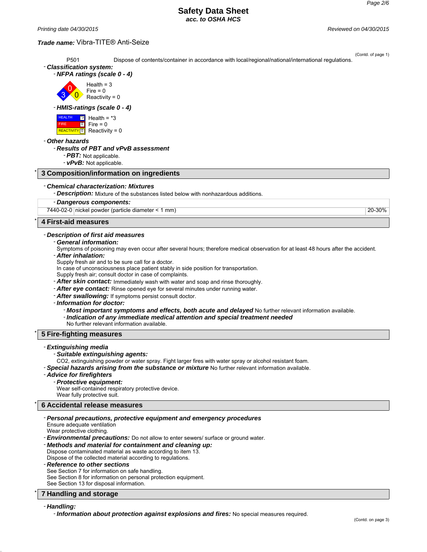*Printing date 04/30/2015 Reviewed on 04/30/2015*

## *Trade name:* Vibra-TITE® Anti-Seize

(Contd. of page 1) P501 Dispose of contents/container in accordance with local/regional/national/international regulations. - *Classification system:* - *NFPA ratings (scale 0 - 4)* 3  $\overline{0}$  $\overline{0}$  $Health = 3$  $Fire = 0$ Reactivity =  $0$ - *HMIS-ratings (scale 0 - 4)* HEALTH FIRE **REACTIVITY** <u>\*3</u> Health = \*3  $\overline{0}$  $\overline{\mathbb{D}}$  $Fire = 0$ Reactivity =  $0$ - *Other hazards* - *Results of PBT and vPvB assessment* - *PBT:* Not applicable. - *vPvB:* Not applicable. \* **3 Composition/information on ingredients** - *Chemical characterization: Mixtures* - *Description:* Mixture of the substances listed below with nonhazardous additions. - *Dangerous components:* 7440-02-0 nickel powder (particle diameter < 1 mm) 20-30% \* **4 First-aid measures** - *Description of first aid measures* - *General information:* Symptoms of poisoning may even occur after several hours; therefore medical observation for at least 48 hours after the accident. - *After inhalation:* Supply fresh air and to be sure call for a doctor. In case of unconsciousness place patient stably in side position for transportation. Supply fresh air; consult doctor in case of complaints. - *After skin contact:* Immediately wash with water and soap and rinse thoroughly. - *After eye contact:* Rinse opened eye for several minutes under running water. - *After swallowing:* If symptoms persist consult doctor. - *Information for doctor:* - *Most important symptoms and effects, both acute and delayed* No further relevant information available. - *Indication of any immediate medical attention and special treatment needed* No further relevant information available. \* **5 Fire-fighting measures** - *Extinguishing media* - *Suitable extinguishing agents:* CO2, extinguishing powder or water spray. Fight larger fires with water spray or alcohol resistant foam. - *Special hazards arising from the substance or mixture* No further relevant information available. - *Advice for firefighters* - *Protective equipment:* Wear self-contained respiratory protective device. Wear fully protective suit. \* **6 Accidental release measures** - *Personal precautions, protective equipment and emergency procedures*

Ensure adequate ventilation

Wear protective clothing.

- *Environmental precautions:* Do not allow to enter sewers/ surface or ground water.

- *Methods and material for containment and cleaning up:*

Dispose contaminated material as waste according to item 13. Dispose of the collected material according to regulations.

- *Reference to other sections*

See Section 7 for information on safe handling.

See Section 8 for information on personal protection equipment.

See Section 13 for disposal information.

## \* **7 Handling and storage**

## - *Handling:*

- *Information about protection against explosions and fires:* No special measures required.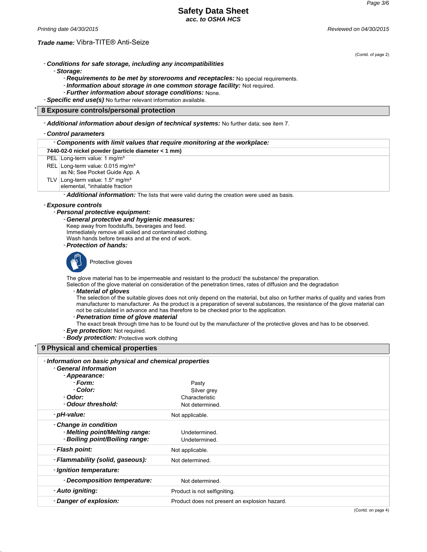*Printing date 04/30/2015 Reviewed on 04/30/2015*

## *Trade name:* Vibra-TITE® Anti-Seize

(Contd. of page 2)

- *Conditions for safe storage, including any incompatibilities*

- *Storage:*

- *Requirements to be met by storerooms and receptacles:* No special requirements.

- *Information about storage in one common storage facility:* Not required.

- *Further information about storage conditions:* None.

- *Specific end use(s)* No further relevant information available.

## \* **8 Exposure controls/personal protection**

## - *Additional information about design of technical systems:* No further data; see item 7.

- **Danger of explosion:** Product does not present an explosion hazard.

## - *Control parameters*

| - Components with limit values that require monitoring at the workplace:                                                                                                                                                                |                                                                                                                                                                                                                                                                                                                                                                                                                                                                                                                                                                                                                                                                                                                    |
|-----------------------------------------------------------------------------------------------------------------------------------------------------------------------------------------------------------------------------------------|--------------------------------------------------------------------------------------------------------------------------------------------------------------------------------------------------------------------------------------------------------------------------------------------------------------------------------------------------------------------------------------------------------------------------------------------------------------------------------------------------------------------------------------------------------------------------------------------------------------------------------------------------------------------------------------------------------------------|
| 7440-02-0 nickel powder (particle diameter < 1 mm)                                                                                                                                                                                      |                                                                                                                                                                                                                                                                                                                                                                                                                                                                                                                                                                                                                                                                                                                    |
| PEL Long-term value: 1 mg/m <sup>3</sup>                                                                                                                                                                                                |                                                                                                                                                                                                                                                                                                                                                                                                                                                                                                                                                                                                                                                                                                                    |
| REL Long-term value: 0.015 mg/m <sup>3</sup><br>as Ni; See Pocket Guide App. A                                                                                                                                                          |                                                                                                                                                                                                                                                                                                                                                                                                                                                                                                                                                                                                                                                                                                                    |
| TLV Long-term value: $1.5^*$ mg/m <sup>3</sup><br>elemental, *inhalable fraction                                                                                                                                                        |                                                                                                                                                                                                                                                                                                                                                                                                                                                                                                                                                                                                                                                                                                                    |
|                                                                                                                                                                                                                                         | - <b>Additional information:</b> The lists that were valid during the creation were used as basis.                                                                                                                                                                                                                                                                                                                                                                                                                                                                                                                                                                                                                 |
| - Exposure controls                                                                                                                                                                                                                     |                                                                                                                                                                                                                                                                                                                                                                                                                                                                                                                                                                                                                                                                                                                    |
| - Personal protective equipment:                                                                                                                                                                                                        |                                                                                                                                                                                                                                                                                                                                                                                                                                                                                                                                                                                                                                                                                                                    |
| - General protective and hygienic measures:<br>Keep away from foodstuffs, beverages and feed.<br>Immediately remove all soiled and contaminated clothing.<br>Wash hands before breaks and at the end of work.<br>- Protection of hands: |                                                                                                                                                                                                                                                                                                                                                                                                                                                                                                                                                                                                                                                                                                                    |
| Protective gloves                                                                                                                                                                                                                       |                                                                                                                                                                                                                                                                                                                                                                                                                                                                                                                                                                                                                                                                                                                    |
| - Material of gloves<br>- Penetration time of glove material<br>- Eye protection: Not required.<br>- <b>Body protection:</b> Protective work clothing                                                                                   | The glove material has to be impermeable and resistant to the product/ the substance/ the preparation.<br>Selection of the glove material on consideration of the penetration times, rates of diffusion and the degradation<br>The selection of the suitable gloves does not only depend on the material, but also on further marks of quality and varies from<br>manufacturer to manufacturer. As the product is a preparation of several substances, the resistance of the glove material can<br>not be calculated in advance and has therefore to be checked prior to the application.<br>The exact break through time has to be found out by the manufacturer of the protective gloves and has to be observed. |
| 9 Physical and chemical properties                                                                                                                                                                                                      |                                                                                                                                                                                                                                                                                                                                                                                                                                                                                                                                                                                                                                                                                                                    |
| - Information on basic physical and chemical properties<br>- General Information<br>- Appearance:                                                                                                                                       |                                                                                                                                                                                                                                                                                                                                                                                                                                                                                                                                                                                                                                                                                                                    |
| - Form:                                                                                                                                                                                                                                 | Pasty                                                                                                                                                                                                                                                                                                                                                                                                                                                                                                                                                                                                                                                                                                              |
| - Color:                                                                                                                                                                                                                                | Silver grey                                                                                                                                                                                                                                                                                                                                                                                                                                                                                                                                                                                                                                                                                                        |
| - Odor:                                                                                                                                                                                                                                 | Characteristic                                                                                                                                                                                                                                                                                                                                                                                                                                                                                                                                                                                                                                                                                                     |
| - Odour threshold:                                                                                                                                                                                                                      | Not determined.                                                                                                                                                                                                                                                                                                                                                                                                                                                                                                                                                                                                                                                                                                    |
| - pH-value:                                                                                                                                                                                                                             | Not applicable.                                                                                                                                                                                                                                                                                                                                                                                                                                                                                                                                                                                                                                                                                                    |
| - Change in condition<br>- Melting point/Melting range:<br>- Boiling point/Boiling range:                                                                                                                                               | Undetermined.<br>Undetermined.                                                                                                                                                                                                                                                                                                                                                                                                                                                                                                                                                                                                                                                                                     |
| - Flash point:                                                                                                                                                                                                                          | Not applicable.                                                                                                                                                                                                                                                                                                                                                                                                                                                                                                                                                                                                                                                                                                    |
| - Flammability (solid, gaseous):                                                                                                                                                                                                        | Not determined.                                                                                                                                                                                                                                                                                                                                                                                                                                                                                                                                                                                                                                                                                                    |
| - Ignition temperature:                                                                                                                                                                                                                 |                                                                                                                                                                                                                                                                                                                                                                                                                                                                                                                                                                                                                                                                                                                    |
| - Decomposition temperature:                                                                                                                                                                                                            | Not determined.                                                                                                                                                                                                                                                                                                                                                                                                                                                                                                                                                                                                                                                                                                    |
| - Auto igniting:                                                                                                                                                                                                                        | Product is not selfigniting.                                                                                                                                                                                                                                                                                                                                                                                                                                                                                                                                                                                                                                                                                       |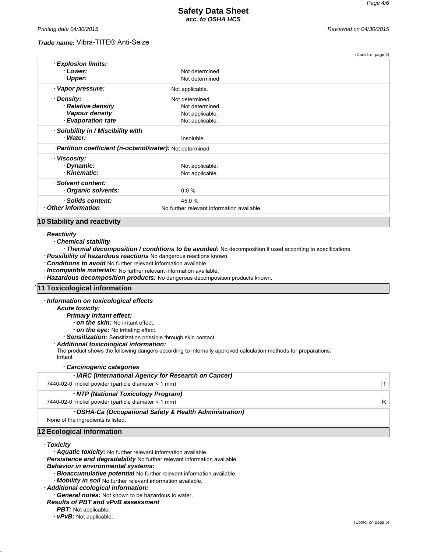(Contd. of page 3)

## *Trade name:* Vibra-TITE® Anti-Seize

|                                                            |                                            | looma, or hade of |
|------------------------------------------------------------|--------------------------------------------|-------------------|
| - Explosion limits:                                        |                                            |                   |
| - Lower:                                                   | Not determined.                            |                   |
| - Upper:                                                   | Not determined.                            |                   |
| - Vapor pressure:                                          | Not applicable.                            |                   |
| - Density:                                                 | Not determined.                            |                   |
| - Relative density                                         | Not determined.                            |                   |
| - Vapour density                                           | Not applicable.                            |                   |
| - Evaporation rate                                         | Not applicable.                            |                   |
| - Solubility in / Miscibility with                         |                                            |                   |
| - Water:                                                   | Insoluble.                                 |                   |
| - Partition coefficient (n-octanol/water): Not determined. |                                            |                   |
| - Viscosity:                                               |                                            |                   |
| - Dynamic:                                                 | Not applicable.                            |                   |
| - Kinematic:                                               | Not applicable.                            |                   |
| - Solvent content:                                         |                                            |                   |
| - Organic solvents:                                        | $0.0 \%$                                   |                   |
| - Solids content:                                          | 45.0%                                      |                   |
| - Other information                                        | No further relevant information available. |                   |
|                                                            |                                            |                   |

## **10 Stability and reactivity**

#### - *Reactivity*

- *Chemical stability*
- *Thermal decomposition / conditions to be avoided:* No decomposition if used according to specifications.
- *Possibility of hazardous reactions* No dangerous reactions known.
- *Conditions to avoid* No further relevant information available.
- *Incompatible materials:* No further relevant information available.
- *Hazardous decomposition products:* No dangerous decomposition products known.

#### **11 Toxicological information**

#### - *Information on toxicological effects*

- *Acute toxicity:*
	- *Primary irritant effect:*
		- *on the skin:* No irritant effect.
		- *on the eye:* No irritating effect.
	- *Sensitization:* Sensitization possible through skin contact.

#### - *Additional toxicological information:*

The product shows the following dangers according to internally approved calculation methods for preparations:

#### Irritant

#### - *Carcinogenic categories*

| - IARC (International Agency for Research on Cancer)    |          |
|---------------------------------------------------------|----------|
| 7440-02-0 nickel powder (particle diameter < 1 mm)      | $1 \mid$ |
| - NTP (National Toxicology Program)                     |          |
| 7440-02-0 nickel powder (particle diameter < 1 mm)      | R.       |
| - OSHA-Ca (Occupational Safety & Health Administration) |          |
| None of the ingredients is listed.                      |          |
| 12 Ecological information                               |          |
|                                                         |          |

#### - *Toxicity*

- *Aquatic toxicity:* No further relevant information available.
- *Persistence and degradability* No further relevant information available.
- *Behavior in environmental systems:*
	- *Bioaccumulative potential* No further relevant information available.
	- *Mobility in soil* No further relevant information available.
- *Additional ecological information:*

- *General notes:* Not known to be hazardous to water.

- *Results of PBT and vPvB assessment*

- *PBT:* Not applicable.

- *vPvB:* Not applicable.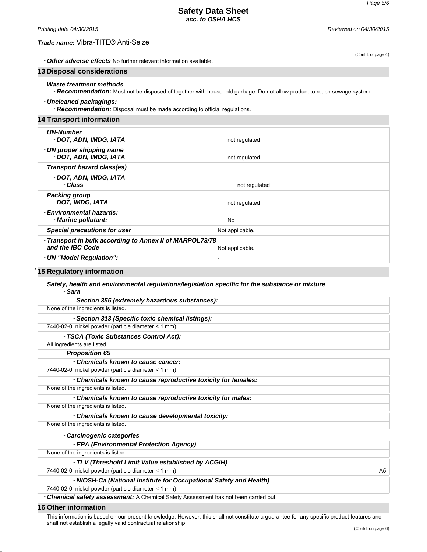## *Trade name:* Vibra-TITE® Anti-Seize

*Printing date 04/30/2015 Reviewed on 04/30/2015*

(Contd. of page 4)

| - Other adverse effects No further relevant information available. |  |
|--------------------------------------------------------------------|--|
|--------------------------------------------------------------------|--|

# **13 Disposal considerations**

## - *Waste treatment methods*

- *Recommendation:* Must not be disposed of together with household garbage. Do not allow product to reach sewage system.

#### - *Uncleaned packagings:*

- *Recommendation:* Disposal must be made according to official regulations.

| <b>14 Transport information</b>                                              |                          |  |
|------------------------------------------------------------------------------|--------------------------|--|
| - UN-Number<br>- DOT, ADN, IMDG, IATA                                        | not regulated            |  |
| - UN proper shipping name<br>- DOT, ADN, IMDG, IATA                          | not regulated            |  |
| - Transport hazard class(es)                                                 |                          |  |
| - DOT, ADN, IMDG, IATA<br>- Class                                            | not regulated            |  |
| - Packing group<br>- DOT. IMDG. IATA                                         | not regulated            |  |
| - Environmental hazards:<br>- Marine pollutant:                              | No                       |  |
| - Special precautions for user                                               | Not applicable.          |  |
| - Transport in bulk according to Annex II of MARPOL73/78<br>and the IBC Code | Not applicable.          |  |
| - UN "Model Regulation":                                                     | $\overline{\phantom{a}}$ |  |
|                                                                              |                          |  |

## \* **15 Regulatory information**

## - *Safety, health and environmental regulations/legislation specific for the substance or mixture*

- *Sara*

| - Section 355 (extremely hazardous substances):                    |                |
|--------------------------------------------------------------------|----------------|
| None of the ingredients is listed.                                 |                |
| - Section 313 (Specific toxic chemical listings):                  |                |
| 7440-02-0 nickel powder (particle diameter < 1 mm)                 |                |
| - TSCA (Toxic Substances Control Act):                             |                |
| All ingredients are listed.                                        |                |
| - Proposition 65                                                   |                |
| - Chemicals known to cause cancer:                                 |                |
| 7440-02-0 nickel powder (particle diameter $\leq 1$ mm)            |                |
| - Chemicals known to cause reproductive toxicity for females:      |                |
| None of the ingredients is listed.                                 |                |
| - Chemicals known to cause reproductive toxicity for males:        |                |
| None of the ingredients is listed.                                 |                |
| - Chemicals known to cause developmental toxicity:                 |                |
| None of the ingredients is listed.                                 |                |
| - Carcinogenic categories                                          |                |
| - EPA (Environmental Protection Agency)                            |                |
| None of the ingredients is listed.                                 |                |
| - TLV (Threshold Limit Value established by ACGIH)                 |                |
| 7440-02-0 nickel powder (particle diameter < 1 mm)                 | A <sub>5</sub> |
| - NIOSH-Ca (National Institute for Occupational Safety and Health) |                |
| 7440-02-0 nickel powder (particle diameter < 1 mm)                 |                |

- *Chemical safety assessment:* A Chemical Safety Assessment has not been carried out.

## **16 Other information**

This information is based on our present knowledge. However, this shall not constitute a guarantee for any specific product features and shall not establish a legally valid contractual relationship.